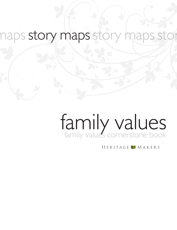### naps story maps story maps st stor

# family values cornerstone book family values

HERITAGE MAKERS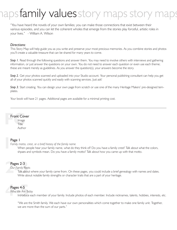## psfamily valuesstory maps sto

"You have heard the novels of your own families; you can make those connections that exist between their various episodes, and you can let the coherent wholes that emerge from the stories play forceful, artistic roles in your lives." - William A. Wilson

#### *Directions:*

This Story Map will help guide you as you write and preserve your most precious memories. As you combine stories and photos you'll create a valuable treasure that can be shared for many years to come.

**Step 1.** Read through the following questions and answer them. You may need to involve others with interviews and gathering information, or just answer the questions on your own. You do not need to answer each question or even use each theme; these are meant merely as guidelines. As you answer the question(s), your answers become the story.

*Step 2.* Get your photos scanned and uploaded into your Studio account. Your personal publishing consultant can help you get all of your photos scanned quickly and easily with scanning services. Just ask!

*Step 3.* Start creating. You can design your own page from scratch or use one of the many Heritage Makers' pre-designed templates.

Your book will have 21 pages. Additional pages are available for a minimal printing cost.

## **Front Cover**<br>
Image<br>
Title Front Cover

Image **Title** Author

## **1** Page 1

*Family motto, crest, or a brief history of the family name*

When people hear your family name, what do they think of? Do you have a family crest? Talk about what the colors, shpaes and symbols mean. Do you have a family motto? Talk about how you came up with that motto.

### Pages 2-3

#### *Our Family Roots*

**Pages 2-3**<br>Our Family Root<br>Talk abou<br>Write abou Talk about where your family came from. On these pages, you could include a brief genealogy with names and dates. Write about notable family strengths or character traits that are a part of your heritage.

### Pages 4-5

## Pages 4-5<br>Who We Are Town *Who We Are Today*

Introduce each member of your family. Include photos of each member. Include nicknames, talents, hobbies, interests, etc.

"We are the Smith family. We each have our own personalities which come together to make one family unit. Together, we are more than the sum of our parts."